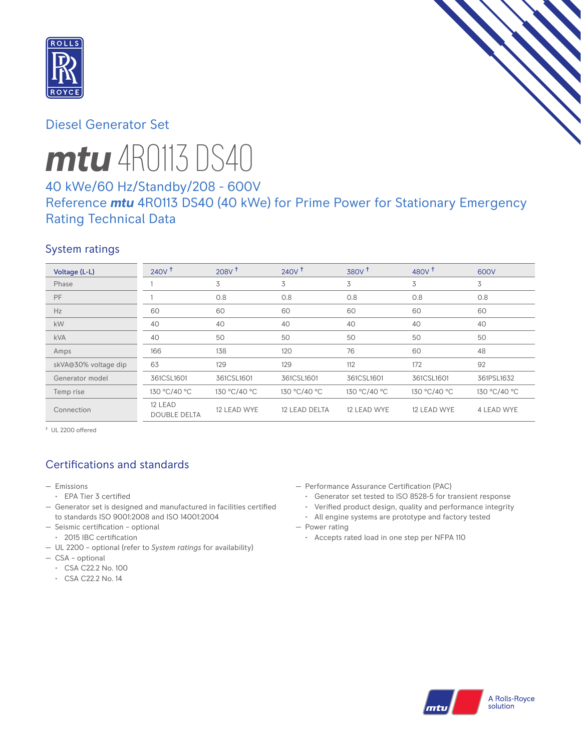

# Diesel Generator Set

# *mtu* 4R0113 DS40

# 40 kWe/60 Hz/Standby/208 - 600V Reference *mtu* 4R0113 DS40 (40 kWe) for Prime Power for Stationary Emergency Rating Technical Data

## System ratings

| Voltage (L-L)        | 240V <sup>†</sup>              | 208V <sup>†</sup> | $240V$ <sup>+</sup> | $380V$ <sup>+</sup> | 480 $V†$     | 600V         |
|----------------------|--------------------------------|-------------------|---------------------|---------------------|--------------|--------------|
| Phase                |                                | 3                 | 3                   | 3                   | 3            | 3            |
| PF                   |                                | 0.8               | 0.8                 | 0.8                 | 0.8          | 0.8          |
| Hz                   | 60                             | 60                | 60                  | 60                  | 60           | 60           |
| kW                   | 40                             | 40                | 40                  | 40                  | 40           | 40           |
| <b>kVA</b>           | 40                             | 50                | 50                  | 50                  | 50           | 50           |
| Amps                 | 166                            | 138               | 120                 | 76                  | 60           | 48           |
| skVA@30% voltage dip | 63                             | 129               | 129                 | 112                 | 172          | 92           |
| Generator model      | 361CSL1601                     | 361CSL1601        | 361CSL1601          | 361CSL1601          | 361CSL1601   | 361PSL1632   |
| Temp rise            | 130 °C/40 °C                   | 130 °C/40 °C      | 130 °C/40 °C        | 130 °C/40 °C        | 130 °C/40 °C | 130 °C/40 °C |
| Connection           | 12 LEAD<br><b>DOUBLE DELTA</b> | 12 LEAD WYE       | 12 LEAD DELTA       | 12 LEAD WYE         | 12 LEAD WYE  | 4 LEAD WYE   |

† UL 2200 offered

# Certifications and standards

- Emissions
- EPA Tier 3 certified
- Generator set is designed and manufactured in facilities certified to standards ISO 9001:2008 and ISO 14001:2004
- Seismic certification optional
- 2015 IBC certification
- UL 2200 optional (refer to *System ratings* for availability)
- CSA optional
	- CSA C22.2 No. 100
	- CSA C22.2 No. 14
- Performance Assurance Certification (PAC)
	- Generator set tested to ISO 8528-5 for transient response
	- Verified product design, quality and performance integrity
- All engine systems are prototype and factory tested — Power rating
	- Accepts rated load in one step per NFPA 110

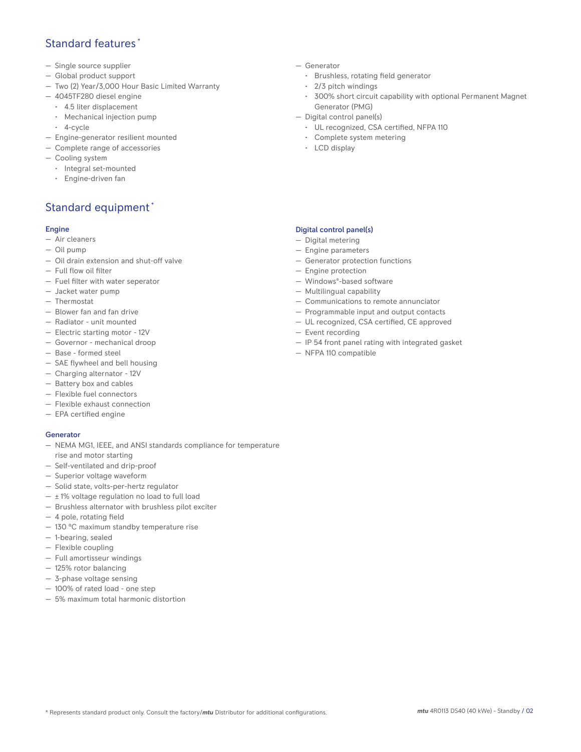## Standard features \*

- Single source supplier
- Global product support
- Two (2) Year/3,000 Hour Basic Limited Warranty
- 4045TF280 diesel engine
	- 4.5 liter displacement
	- Mechanical injection pump
	- 4-cycle
- Engine-generator resilient mounted
- Complete range of accessories
- Cooling system
- Integral set-mounted
	- Engine-driven fan

# Standard equipment \*

#### Engine

- Air cleaners
- Oil pump
- Oil drain extension and shut-off valve
- Full flow oil filter
- Fuel filter with water seperator
- Jacket water pump
- Thermostat
- Blower fan and fan drive
- Radiator unit mounted
- Electric starting motor 12V
- Governor mechanical droop
- Base formed steel
- SAE flywheel and bell housing
- Charging alternator 12V
- Battery box and cables
- Flexible fuel connectors
- Flexible exhaust connection
- EPA certified engine

#### **Generator**

- NEMA MG1, IEEE, and ANSI standards compliance for temperature rise and motor starting
- Self-ventilated and drip-proof
- Superior voltage waveform
- Solid state, volts-per-hertz regulator
- $\pm$  1% voltage regulation no load to full load
- Brushless alternator with brushless pilot exciter
- 4 pole, rotating field
- 130 °C maximum standby temperature rise
- 1-bearing, sealed
- Flexible coupling
- Full amortisseur windings
- 125% rotor balancing
- 3-phase voltage sensing
- 100% of rated load one step
- 5% maximum total harmonic distortion
- Generator
	- Brushless, rotating field generator
	- 2/3 pitch windings
	- 300% short circuit capability with optional Permanent Magnet Generator (PMG)
- Digital control panel(s)
	- UL recognized, CSA certified, NFPA 110
	- Complete system metering
	- LCD display

### Digital control panel(s)

- Digital metering
- Engine parameters
- Generator protection functions
- Engine protection
- Windows®-based software
- Multilingual capability
- Communications to remote annunciator
- Programmable input and output contacts
- UL recognized, CSA certified, CE approved
- Event recording
- IP 54 front panel rating with integrated gasket
- NFPA 110 compatible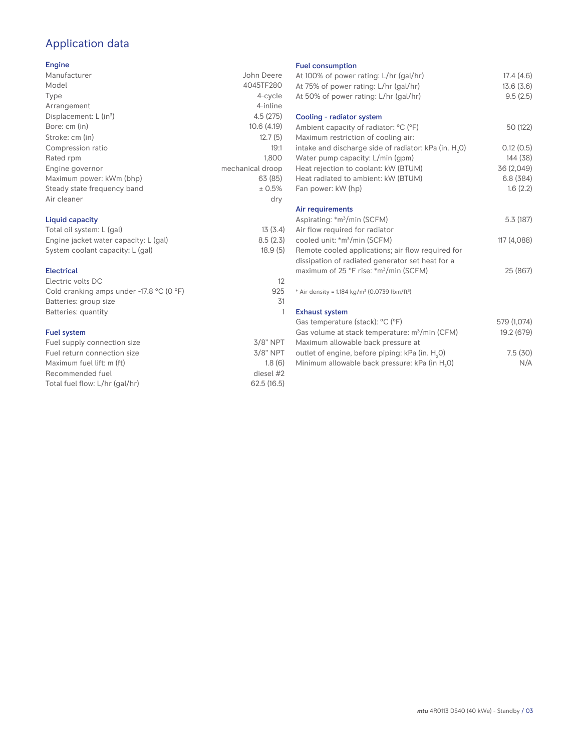# Application data

## Engine

| ------                      |                  |
|-----------------------------|------------------|
| Manufacturer                | John Deere       |
| Model                       | 4045TF280        |
| Type                        | 4-cycle          |
| Arrangement                 | 4-inline         |
| Displacement: $L (in3)$     | 4.5(275)         |
| Bore: cm (in)               | 10.6(4.19)       |
| Stroke: cm (in)             | 12.7(5)          |
| Compression ratio           | 19:1             |
| Rated rpm                   | 1.800            |
| Engine governor             | mechanical droop |
| Maximum power: kWm (bhp)    | 63 (85)          |
| Steady state frequency band | ± 0.5%           |
| Air cleaner                 | dry              |
|                             |                  |

## Liquid capacity

| Total oil system: L (gal)             | 13(3.4)  |
|---------------------------------------|----------|
| Engine jacket water capacity: L (gal) | 8.5(2.3) |
| System coolant capacity: L (gal)      | 18.9(5)  |

#### Electrical

| Electric volts DC                          |     |
|--------------------------------------------|-----|
| Cold cranking amps under $-17.8$ °C (0 °F) | 925 |
| Batteries: group size                      | 31  |
| Batteries: quantity                        |     |
|                                            |     |

## Fuel system

| Fuel supply connection size    | $3/8"$ NPT |
|--------------------------------|------------|
| Fuel return connection size    | $3/8"$ NPT |
| Maximum fuel lift: m (ft)      | 1.8(6)     |
| Recommended fuel               | diesel #2  |
| Total fuel flow: L/hr (gal/hr) | 62.5(16.5) |

#### Fuel consumption

| <b>I GET CONSUMPTION</b>                                             |             |
|----------------------------------------------------------------------|-------------|
| At 100% of power rating: L/hr (gal/hr)                               | 17.4(4.6)   |
| At 75% of power rating: L/hr (gal/hr)                                | 13.6(3.6)   |
| At 50% of power rating: L/hr (gal/hr)                                | 9.5(2.5)    |
|                                                                      |             |
| Cooling - radiator system                                            |             |
| Ambient capacity of radiator: °C (°F)                                | 50 (122)    |
| Maximum restriction of cooling air:                                  |             |
| intake and discharge side of radiator: kPa (in. H <sub>2</sub> 0)    | 0.12(0.5)   |
| Water pump capacity: L/min (gpm)                                     | 144 (38)    |
| Heat rejection to coolant: kW (BTUM)                                 | 36 (2,049)  |
| Heat radiated to ambient: kW (BTUM)                                  | 6.8(384)    |
| Fan power: kW (hp)                                                   | 1.6(2.2)    |
|                                                                      |             |
| Air requirements                                                     |             |
| Aspirating: *m <sup>3</sup> /min (SCFM)                              | 5.3(187)    |
| Air flow required for radiator                                       |             |
| cooled unit: *m <sup>3</sup> /min (SCFM)                             | 117 (4,088) |
| Remote cooled applications; air flow required for                    |             |
| dissipation of radiated generator set heat for a                     |             |
| maximum of 25 °F rise: *m <sup>3</sup> /min (SCFM)                   | 25 (867)    |
|                                                                      |             |
| * Air density = $1.184 \text{ kg/m}^3$ (0.0739 lbm/ft <sup>3</sup> ) |             |
|                                                                      |             |
| <b>Exhaust system</b>                                                |             |
| Gas temperature (stack): °C (°F)                                     | 579 (1,074) |
| Gas volume at stack temperature: m <sup>3</sup> /min (CFM)           | 19.2 (679)  |
| Maximum allowable back pressure at                                   |             |
| outlet of engine, before piping: kPa (in. H <sub>2</sub> 0)          | 7.5(30)     |
| Minimum allowable back pressure: kPa (in H <sub>2</sub> O)           | N/A         |
|                                                                      |             |